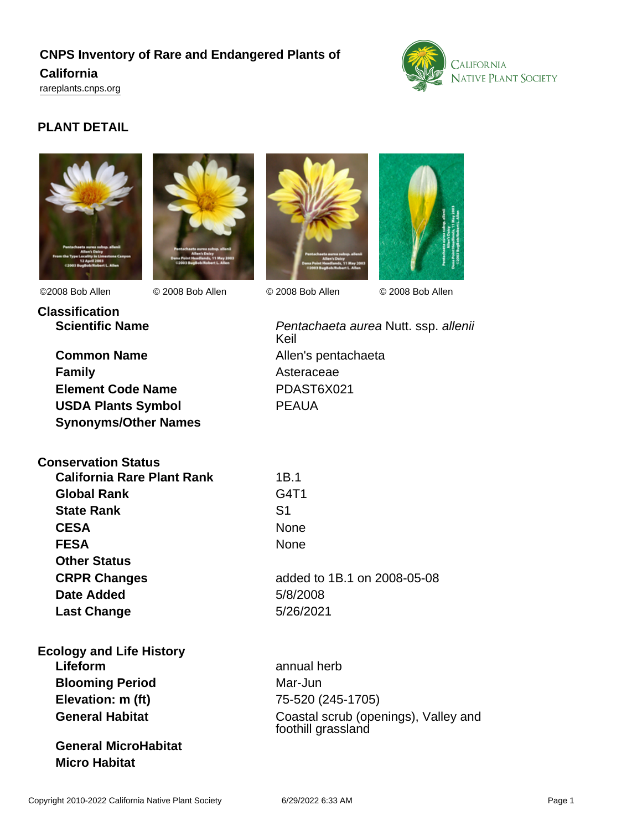# **CNPS Inventory of Rare and Endangered Plants of California**

<rareplants.cnps.org>



## **PLANT DETAIL**







©2008 Bob Allen © 2008 Bob Allen © 2008 Bob Allen © 2008 Bob Allen



**Classification**

**Common Name** Allen's pentachaeta **Family** Asteraceae **Element Code Name** PDAST6X021 **USDA Plants Symbol** PEAUA **Synonyms/Other Names**

**Scientific Name Pentachaeta aurea Nutt. ssp. allenii** Pentachaeta aurea Nutt. ssp. allenii Keil

| <b>Conservation Status</b>        |            |
|-----------------------------------|------------|
| <b>California Rare Plant Rank</b> | 1B.1       |
| <b>Global Rank</b>                | G4T1       |
| <b>State Rank</b>                 | S1         |
| <b>CESA</b>                       | None       |
| <b>FESA</b>                       | None       |
| <b>Other Status</b>               |            |
| <b>CRPR Changes</b>               | added to 1 |
| Date Added                        | 5/8/2008   |
| <b>Last Change</b>                | 5/26/2021  |
|                                   |            |

**CRPR Changes** added to 1B.1 on 2008-05-08 **Date Added** 5/8/2008

## **Ecology and Life History Lifeform** annual herb **Blooming Period** Mar-Jun **Elevation: m (ft)** 75-520 (245-1705)

**General MicroHabitat Micro Habitat**

**General Habitat** Coastal scrub (openings), Valley and foothill grassland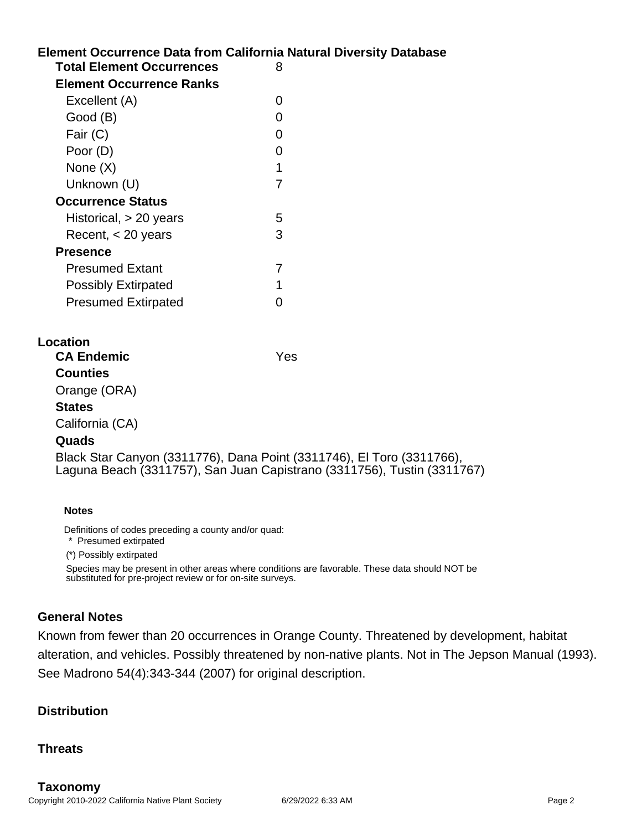# **Element Occurrence Data from California Natural Diversity Database Location Total Element Occurrences** 8 **Element Occurrence Ranks** Excellent (A) 0 Good (B) and the contract of the contract of the contract of the contract of the contract of the contract of the contract of the contract of the contract of the contract of the contract of the contract of the contract of t Fair (C) 0 Poor (D) 0 None  $(X)$  1 Unknown (U) 7 **Occurrence Status** Historical, > 20 years 5 Recent, < 20 years 3 **Presence** Presumed Extant 7 Possibly Extirpated 1 Presumed Extirpated 0 **CA Endemic** Yes **Counties** Orange (ORA) **States** California (CA) **Quads** Black Star Canyon (3311776), Dana Point (3311746), El Toro (3311766), Laguna Beach (3311757), San Juan Capistrano (3311756), Tustin (3311767)

#### **Notes**

Definitions of codes preceding a county and/or quad:

\* Presumed extirpated

(\*) Possibly extirpated

Species may be present in other areas where conditions are favorable. These data should NOT be substituted for pre-project review or for on-site surveys.

## **General Notes**

Known from fewer than 20 occurrences in Orange County. Threatened by development, habitat alteration, and vehicles. Possibly threatened by non-native plants. Not in The Jepson Manual (1993). See Madrono 54(4):343-344 (2007) for original description.

### **Distribution**

### **Threats**